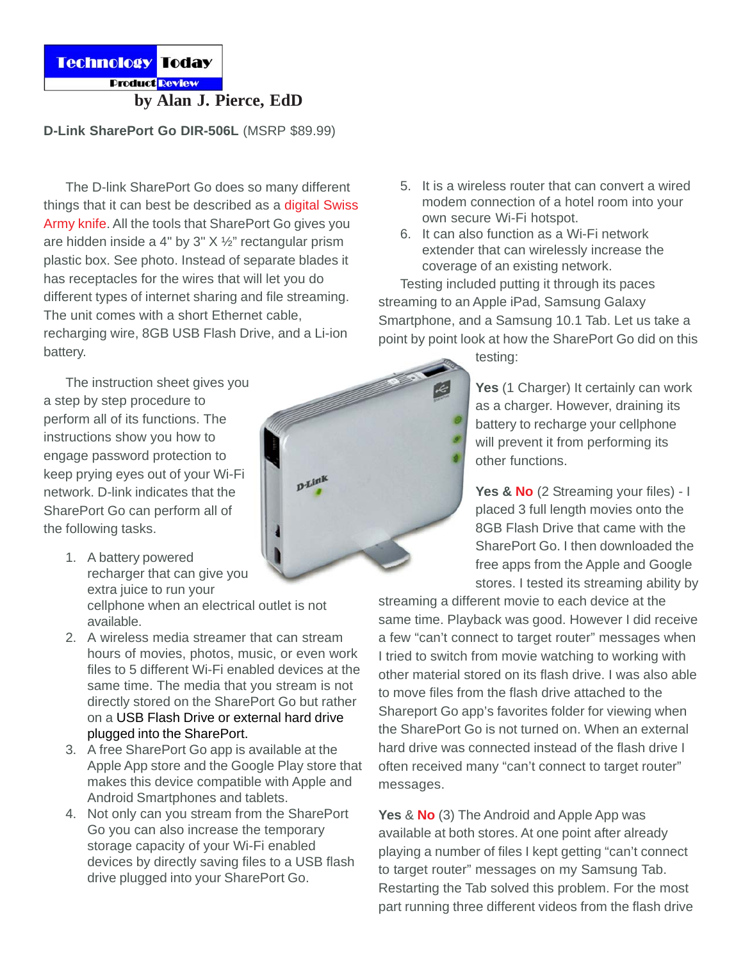Technology Today

**Product Review** 

**by Alan J. Pierce, EdD**

## **D-Link SharePort Go DIR-506L** (MSRP \$89.99)

The D-link SharePort Go does so many different things that it can best be described as a digital Swiss Army knife. All the tools that SharePort Go gives you are hidden inside a 4" by 3" X ½" rectangular prism plastic box. See photo. Instead of separate blades it has receptacles for the wires that will let you do different types of internet sharing and file streaming. The unit comes with a short Ethernet cable, recharging wire, 8GB USB Flash Drive, and a Li-ion battery.

The instruction sheet gives you a step by step procedure to perform all of its functions. The instructions show you how to engage password protection to keep prying eyes out of your Wi-Fi network. D-link indicates that the SharePort Go can perform all of the following tasks.

- 1. A battery powered recharger that can give you extra juice to run your cellphone when an electrical outlet is not available.
- 2. A wireless media streamer that can stream hours of movies, photos, music, or even work files to 5 different Wi-Fi enabled devices at the same time. The media that you stream is not directly stored on the SharePort Go but rather on a USB Flash Drive or external hard drive plugged into the SharePort.
- 3. A free SharePort Go app is available at the Apple App store and the Google Play store that makes this device compatible with Apple and Android Smartphones and tablets.
- 4. Not only can you stream from the SharePort Go you can also increase the temporary storage capacity of your Wi-Fi enabled devices by directly saving files to a USB flash drive plugged into your SharePort Go.
- 5. It is a wireless router that can convert a wired modem connection of a hotel room into your own secure Wi-Fi hotspot.
- 6. It can also function as a Wi-Fi network extender that can wirelessly increase the coverage of an existing network.

Testing included putting it through its paces streaming to an Apple iPad, Samsung Galaxy Smartphone, and a Samsung 10.1 Tab. Let us take a point by point look at how the SharePort Go did on this

testing:

Yes (1 Charger) It certainly can work as a charger. However, draining its battery to recharge your cellphone will prevent it from performing its other functions.

Yes & No (2 Streaming your files) - I placed 3 full length movies onto the 8GB Flash Drive that came with the SharePort Go. I then downloaded the free apps from the Apple and Google stores. I tested its streaming ability by

streaming a different movie to each device at the same time. Playback was good. However I did receive a few "can't connect to target router" messages when I tried to switch from movie watching to working with other material stored on its flash drive. I was also able to move files from the flash drive attached to the Shareport Go app's favorites folder for viewing when the SharePort Go is not turned on. When an external hard drive was connected instead of the flash drive I often received many "can't connect to target router" messages.

**Yes** & **No** (3) The Android and Apple App was available at both stores. At one point after already playing a number of files I kept getting "can't connect to target router" messages on my Samsung Tab. Restarting the Tab solved this problem. For the most part running three different videos from the flash drive